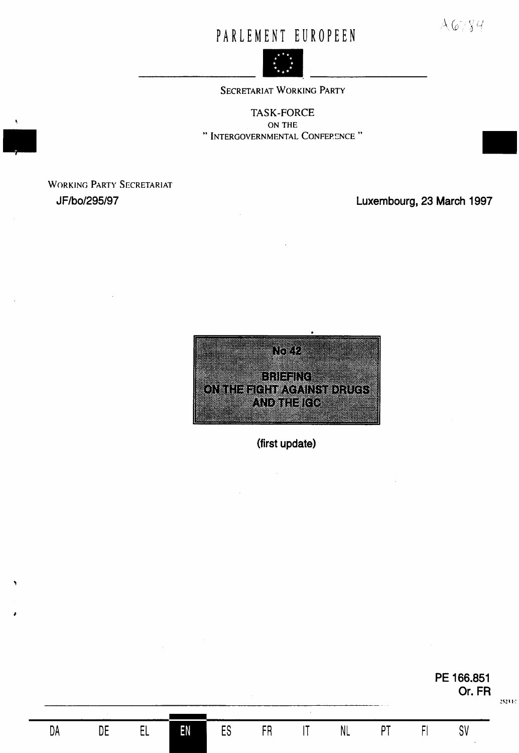# PARLEMENT EUROPEEN



SECRETARIAT WORKING PARTY

**TASK-FORCE** ON THE " INTERGOVERNMENTAL CONFERENCE "

**WORKING PARTY SECRETARIAT** JF/bo/295/97

Luxembourg, 23 March 1997

 $A6789$ 



(first update)

**FR** 

 ${\sf ES}$ 

EN

 $EL$ 

 $\mathsf{DE}$ 

DA

 $|T|$ 

 $\sf NL$ 

 $PT$ 

 $F$ 

PE 166.851 Or. FR

 $SV$ 

2523.10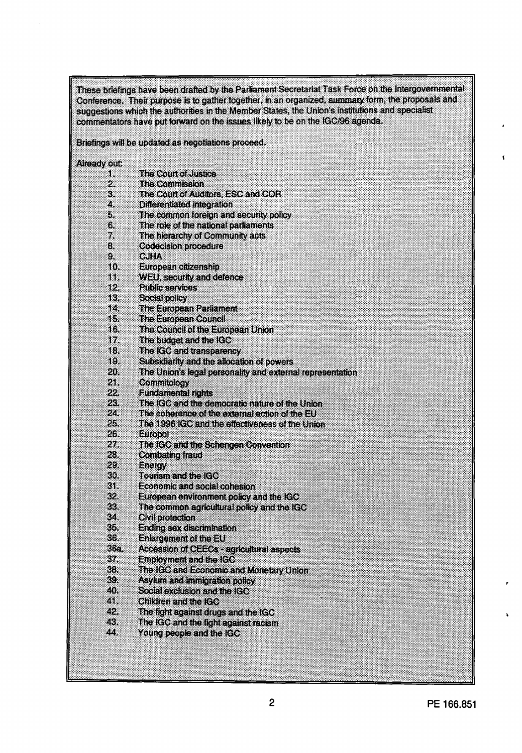These briefings have been drafted by the Parliament Secretariat Task Force on the Intergovernmental Conference. Their purpose is to gather together, in an organized, summary form, the proposals and suggestions which the authorities in the Member States, the Union's institutions and specialist commentators have put forward on the issues likely to be on the IGC/96 agenda.

Briefings will be updated as negotiations proceed.

Already out:

| Œ          | The Court of Justice                                      |
|------------|-----------------------------------------------------------|
| 2.         | HIC Commission                                            |
| S.         | The Court of Auditors, ESC and COR                        |
| 4.         | Differentiated integration                                |
| 5.         | The common foreign and security policy                    |
| 6.         | The role of the national parliaments                      |
| 7,         | The hierarchy of Community acts                           |
| 8.         | Codecision procedure                                      |
| 9.         | CUHA                                                      |
| æ          | lationean citizenship                                     |
| Œ          | WEU, security and defence                                 |
| 12.        | <b>Public services</b>                                    |
| Œ.         | Social policy                                             |
| œ          | The European Parliament                                   |
| lb.        | The European Council                                      |
| KX         | The Council of the European Union                         |
| w          | The budget and the IGC                                    |
| 18.        | The IGC and transparency                                  |
| æ          | Subsidiarity and the allocation of powers                 |
| 20         | The Union's legal personality and external representation |
| 28         | Commiology                                                |
| 22.        | <b>Fundamental rights</b>                                 |
|            | The IGC and the democratic nature of the Union            |
| 28.<br>24. | The coherence of the external action of the EU            |
| 23         | The 1996 IGC and the effectiveness of the Union           |
| 26.        |                                                           |
| 27.        | Europol                                                   |
| 28.        | The IGC and the Schengen Convention                       |
| 28         | Combating fraud                                           |
| 30.        | Energy<br><b>ICHER AGENTICO</b>                           |
| 31.        | Economic and social cohesion                              |
| 32.        |                                                           |
| 883        | European environment policy and the IGC                   |
| 84.        | The common agricultural policy and the IGC                |
|            | Gwlooecion                                                |
| 85         | <b>Ending sex discrimination</b>                          |
| 36.        | <b>Enlargement of the EU</b>                              |
| 36a.       | Accession of CEECs - agricultural aspects                 |
| 888        | Employment and the IGO                                    |
| 88.        | The IGC and Economic and Monetary Union                   |
| 89.        | Asylum and immigration policy                             |
| 40.        | Social exclusion and the IGO                              |
| 21.        | Chidren and the IGO                                       |
| 42.        | The fight against drugs and the IGC                       |
| 43.        | The IGC and the light against racism                      |
| 44.        | Young people and the IGC                                  |

 $\mathbf{I}$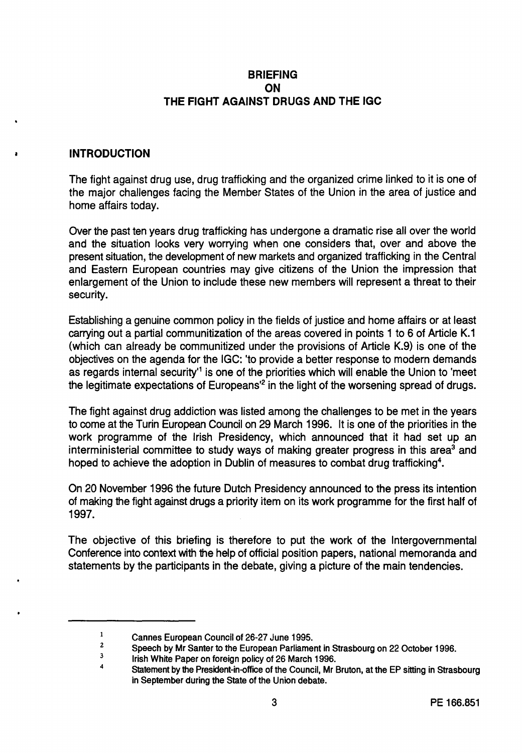## **BRIEFING ON THE FIGHT AGAINST DRUGS AND THE IGC**

#### • **INTRODUCTION**

The fight against drug use, drug trafficking and the organized crime linked to it is one of the major challenges facing the Member States of the Union in the area of justice and home affairs today.

Over the past ten years drug trafficking has undergone a dramatic rise all over the world and the situation looks very worrying when one considers that, over and above the present situation, the development of new markets and organized trafficking in the Central and Eastern European countries may give citizens of the Union the impression that enlargement of the Union to include these new members will represent a threat to their security.

Establishing a genuine common policy in the fields of justice and home affairs or at least carrying out a partial communitization of the areas covered in points 1 to 6 of Article K.1 (which can already be communitized under the provisions of Article K.9) is one of the objectives on the agenda for the IGC: 'to provide a better response to modern demands as regards internal security<sup>1</sup> is one of the priorities which will enable the Union to 'meet the legitimate expectations of Europeans<sup>'2</sup> in the light of the worsening spread of drugs.

The fight against drug addiction was listed among the challenges to be met in the years to come at the Turin European Council on 29 March 1996. It is one of the priorities in the work programme of the Irish Presidency, which announced that it had set up an interministerial committee to study ways of making greater progress in this area<sup>3</sup> and hoped to achieve the adoption in Dublin of measures to combat drug trafficking<sup>4</sup>.

On 20 November 1996 the future Dutch Presidency announced to the press its intention of making the fight against drugs a priority item on its work programme for the first half of 1997.

The objective of this briefing is therefore to put the work of the Intergovernmental Conference into context with the help of official position papers, national memoranda and statements by the participants in the debate, giving a picture of the main tendencies.

<sup>1</sup>  Cannes European Council of 26-27 June 1995.

<sup>2</sup>  Speech by Mr Santer to the European Parliament in Strasbourg on 22 October 1996.

<sup>3</sup>  Irish White Paper on foreign policy of 26 March 1996.

<sup>4</sup>  Statement by the President-in-office of the Council, Mr Bruton, at the EP sitting in Strasbourg in September during the State of the Union debate.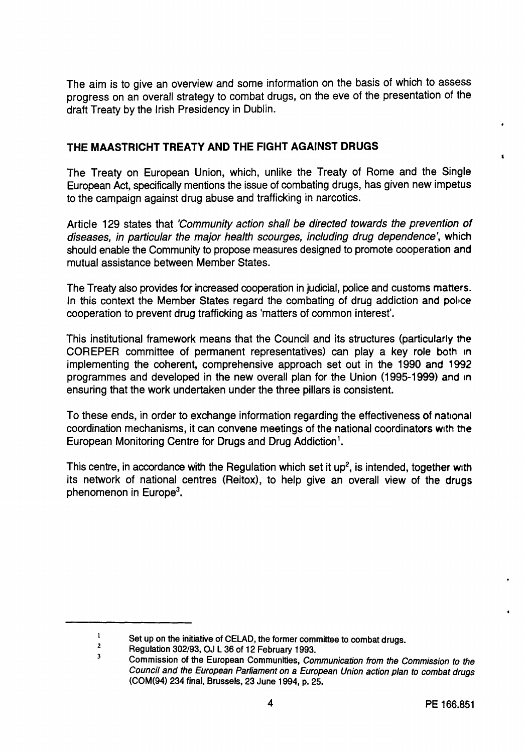The aim is to give an overview and some information on the basis of which to assess progress on an overall strategy to combat drugs, on the eve of the presentation of the draft Treaty by the Irish Presidency in Dublin.

## **THE MAASTRICHT TREATY AND THE FIGHT AGAINST DRUGS**

The Treaty on European Union, which, unlike the Treaty of Rome and the Single European Act, specifically mentions the issue of combating drugs, has given new impetus to the campaign against drug abuse and trafficking in narcotics.

Article 129 states that 'Community action shall be directed towards the prevention of diseases, in particular the major health scourges, including drug dependence', which should enable the Community to propose measures designed to promote cooperation and mutual assistance between Member States.

The Treaty also provides for increased cooperation in judicial, police and customs matters. In this context the Member States regard the combating of drug addiction and police cooperation to prevent drug trafficking as 'matters of common interest'.

This institutional framework means that the Council and its structures (particularly the COREPER committee of permanent representatives) can play a key role both in implementing the coherent, comprehensive approach set out in the 1990 and 1992 programmes and developed in the new overall plan for the Union (1995-1999) and in ensuring that the work undertaken under the three pillars is consistent.

To these ends, in order to exchange information regarding the effectiveness of national coordination mechanisms, it can convene meetings of the national coordinators with the European Monitoring Centre for Drugs and Drug Addiction<sup>1</sup>.

This centre, in accordance with the Regulation which set it  $up^2$ , is intended, together with its network of national centres (Reitox), to help give an overall view of the drugs phenomenon in Europe<sup>3</sup>.

 $\mathbf 1$ Set up on the initiative of CELAD, the former committee to combat drugs. 2

<sup>3</sup>  Regulation 302/93, OJ L 36 of 12 February 1993.

Commission of the European Communities, Communication from the Commission to the Council and the European Parliament on a European Union action plan to combat drugs (COM(94) 234 final, Brussels, 23 June 1994, p. 25.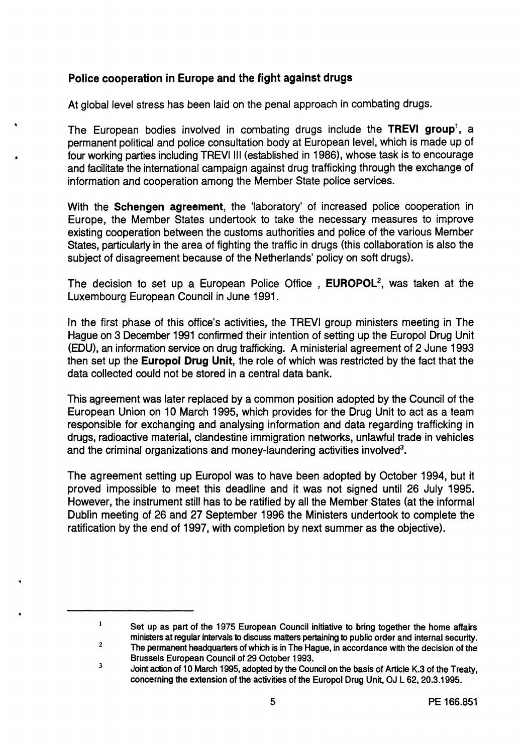# **Police cooperation** in **Europe and the fight against drugs**

•

 $\blacksquare$ 

At global level stress has been laid on the penal approach in combating drugs.

The European bodies involved in combating drugs include the **TREVI group<sup>1</sup> ,** a permanent political and police consultation body at European level, which is made up of four working parties including TREVI Ill (established in 1986), whose task is to encourage and facilitate the international campaign against drug trafficking through the exchange of information and cooperation among the Member State police services.

With the **Schengen agreement,** the 'laboratory' of increased police cooperation in Europe, the Member States undertook to take the necessary measures to improve existing cooperation between the customs authorities and police of the various Member States, particularly in the area of fighting the traffic in drugs (this collaboration is also the subject of disagreement because of the Netherlands' policy on soft drugs).

The decision to set up a European Police Office , **EUROPOL2 ,** was taken at the Luxembourg European Council in June 1991.

In the first phase of this office's activities, the TREVI group ministers meeting in The Hague on 3 December 1991 confirmed their intention of setting up the Europol Drug Unit (EDU), an information service on drug trafficking. A ministerial agreement of 2 June 1993 then set up the **Europol Drug Unit,** the role of which was restricted by the fact that the data collected could not be stored in a central data bank.

This agreement was later replaced by a common position adopted by the Council of the European Union on 10 March 1995, which provides for the Drug Unit to act as a team responsible for exchanging and analysing information and data regarding trafficking in drugs, radioactive material, clandestine immigration networks, unlawful trade in vehicles and the criminal organizations and money-laundering activities involved<sup>3</sup>.

The agreement setting up Europol was to have been adopted by October 1994, but it proved impossible to meet this deadline and it was not signed until 26 July 1995. However, the instrument still has to be ratified by all the Member States (at the informal Dublin meeting of 26 and 27 September 1996 the Ministers undertook to complete the ratification by the end of 1997, with completion by next summer as the objective).

Set up as part of the 1975 European Council initiative to bring together the home affairs ministers at regular intervals to discuss matters pertaining to public order and internal security.

<sup>2</sup>  3 The permanent headquarters of which is in The Hague, in accordance with the decision of the Brussels European Council of 29 October 1993.

Joint action of 10 March 1995, adopted by the Council on the basis of Article K.3 of the Treaty, concerning the extension of the activities of the Europol Drug Unit, OJ L 62, 20.3.1995.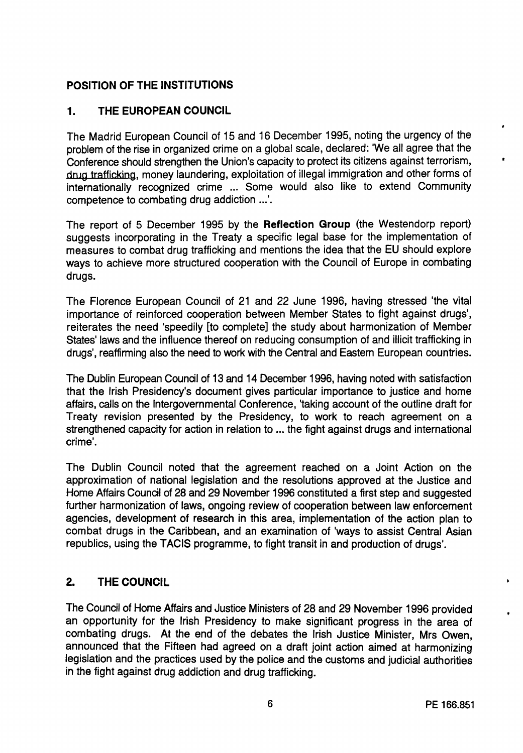# **POSITION OF THE INSTITUTIONS**

# **1. THE EUROPEAN COUNCIL**

The Madrid European Council of 15 and 16 December 1995, noting the urgency of the problem of the rise in organized crime on a global scale, declared: 'We all agree that the Conference should strengthen the Union's capacity to protect its citizens against terrorism, drug trafficking, money laundering, exploitation of illegal immigration and other forms of internationally recognized crime ... Some would also like to extend Community competence to combating drug addiction ...'.

The report of 5 December 1995 by the **Reflection Group** (the Westendorp report) suggests incorporating in the Treaty a specific legal base for the implementation of measures to combat drug trafficking and mentions the idea that the EU should explore **ways** to achieve more structured cooperation with the Council of Europe in combating drugs.

The Florence European Council of 21 and 22 June 1996, having stressed 'the vital importance of reinforced cooperation between Member States to fight against drugs', reiterates the need 'speedily [to complete] the study about harmonization of Member States' laws and the influence thereof on reducing consumption of and illicit trafficking in drugs', reaffirming also the need to work with the Central and Eastern European countries.

The Dublin European Council of 13 and 14 December 1996, having noted with satisfaction that the Irish Presidency's document gives particular importance to justice and home affairs, calls on the Intergovernmental Conference, 'taking account of the outline draft for Treaty revision presented by the Presidency, to work to reach agreement on a strengthened capacity for action in relation to ... the fight against drugs and international crime'.

The Dublin Council noted that the agreement reached on a Joint Action on the approximation of national legislation and the resolutions approved at the Justice and Home Affairs Council of 28 and 29 November 1996 constituted a first step and suggested further harmonization of laws, ongoing review of cooperation between law enforcement agencies, development of research in this area, implementation of the action plan to combat drugs in the Caribbean, and an examination of 'ways to assist Central Asian republics, using the TACIS programme, to fight transit in and production of drugs'.

# **2. THE COUNCIL**

The Council of Home Affairs and Justice Ministers of 28 and 29 November 1996 provided an opportunity for the Irish Presidency to make significant progress in the area of combating drugs. At the end of the debates the Irish Justice Minister, Mrs Owen, announced that the Fifteen had agreed on a draft joint action aimed at harmonizing legislation and the practices used by the police and the customs and judicial authorities in the fight against drug addiction and drug trafficking.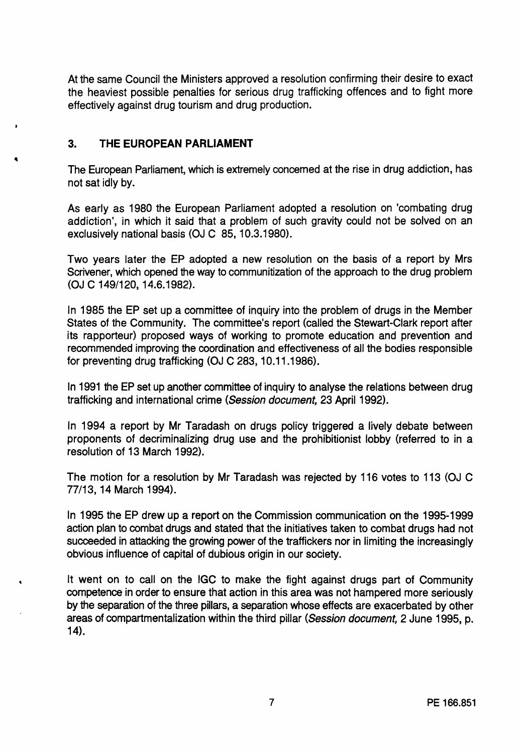At the same Council the Ministers approved a resolution confirming their desire to exact the heaviest possible penalties for serious drug trafficking offences and to fight more effectively against drug tourism and drug production.

## **3. THE EUROPEAN PARLIAMENT**

The European Parliament, which is extremely concerned at the rise in drug addiction, has not sat idly by.

As early as 1980 the European Parliament adopted a resolution on 'combating drug addiction', in which it said that a problem of such gravity could not be solved on an exclusively national basis (OJ C 85, 10.3.1980).

Two years later the EP adopted a new resolution on the basis of a report by Mrs Scrivener, which opened the way to communitization of the approach to the drug problem (OJ C 149/120, 14.6.1982).

In 1985 the EP set up a committee of inquiry into the problem of drugs in the Member States of the Community. The committee's report (called the Stewart-Clark report after its rapporteur) proposed ways of working to promote education and prevention and recommended improving the coordination and effectiveness of all the bodies responsible for preventing drug trafficking (OJ C 283, 10.11.1986).

In 1991 the EP set up another committee of inquiry to analyse the relations between drug trafficking and international crime (Session document, 23 April 1992).

In 1994 a report by Mr Taradash on drugs policy triggered a lively debate between proponents of decriminalizing drug use and the prohibitionist lobby (referred to in a resolution of 13 March 1992).

The motion for a resolution by Mr Taradash was rejected by 116 votes to 113 (OJ C 77/13, 14 March 1994).

In 1995 the EP drew up a report on the Commission communication on the 1995-1999 action plan to combat drugs and stated that the initiatives taken to combat drugs had not succeeded in attacking the growing power of the traffickers nor in limiting the increasingly obvious influence of capital of dubious origin in our society.

It went on to call on the IGC to make the fight against drugs part of Community competence in order to ensure that action in this area was not hampered more seriously by the separation of the three pillars, a separation whose effects are exacerbated by other areas of compartmentalization within the third pillar (Session document, 2 June 1995, p. 14).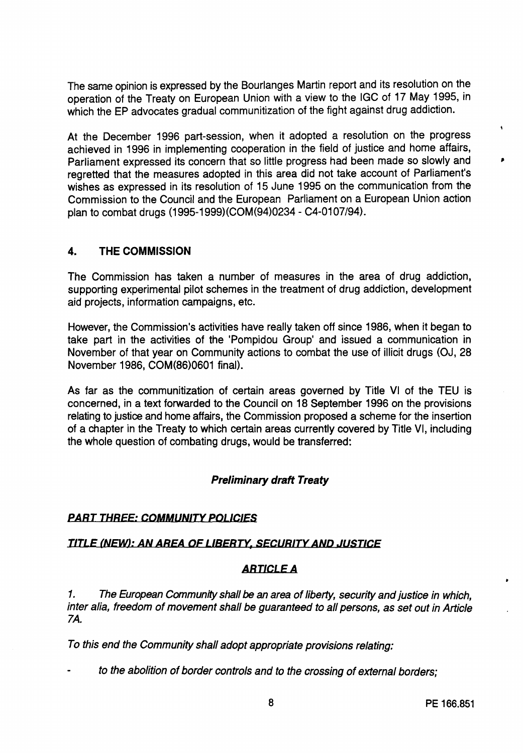The same opinion is expressed by the Bourlanges Martin report and its resolution on the operation of the Treaty on European Union with a view to the IGC of 17 May 1995, in which the EP advocates gradual communitization of the fight against drug addiction.

At the December 1996 part-session, when it adopted a resolution on the progress achieved in 1996 in implementing cooperation in the field of justice and home affairs, Parliament expressed its concern that so little progress had been made so slowly and regretted that the measures adopted in this area did not take account of Parliament's wishes as expressed in its resolution of 15 June 1995 on the communication from the Commission to the Council and the European Parliament on a European Union action plan to combat drugs (1995-1999)(COM(94)0234 - C4-0107/94).

# 4. THE **COMMISSION**

The Commission has taken a number of measures in the area of drug addiction, supporting experimental pilot schemes in the treatment of drug addiction, development aid projects, information campaigns, etc.

However, the Commission's activities have really taken off since 1986, when it began to take part in the activities of the 'Pompidou Group' and issued a communication in November of that year on Community actions to combat the use of illicit drugs (OJ, 28 November 1986, COM(86)0601 final).

As far as the communitization of certain areas governed by Title VI of the TEU is concerned, in a text forwarded to the Council on 18 September 1996 on the provisions relating to justice and home affairs, the Commission proposed a scheme for the insertion of a chapter in the Treaty to which certain areas currently covered by Title VI, including the whole question of combating drugs, would be transferred:

# **Preliminary draft Treaty**

## **PART THREE: COMMUNITY PDLIC/ES**

### **TITLE (NEW): AN AREA OF LIBERTY, SECURITYAND JUSTICE**

## **ARTICLE A**

1. The European Community shall be an area of liberty, security and justice in which, inter alia, freedom of movement shall be guaranteed to all persons, as set out in Article 7A.

To this end the Community shall adopt appropriate provisions relating:

to the abolition of border controls and to the crossing of external borders;

 $\blacklozenge$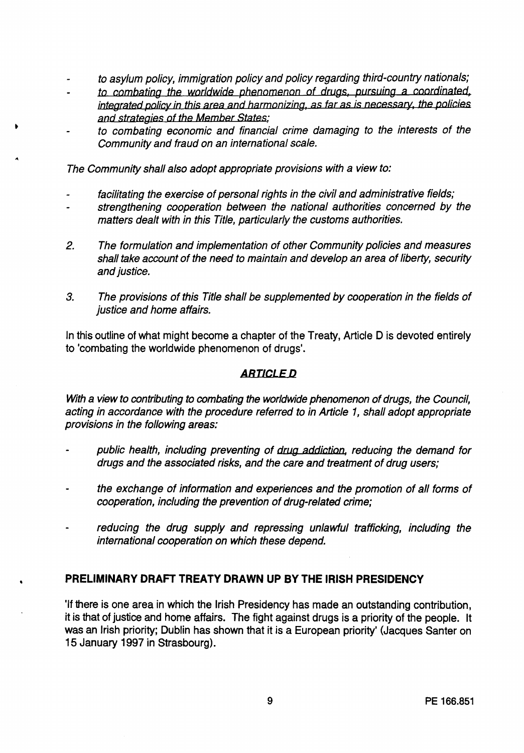- to asylum policy, immigration policy and policy regarding third-country nationals;
- to combating the worldwide phenomenon of drugs, pursuing a coordinated, integrated policy in this area and harmonizing, as tar as is necessary, the policies and strategies of the Member States;
- to combating economic and financial crime damaging to the interests of the Community and fraud on an international scale.

The Community shall also adopt appropriate provisions with a view to:

- facilitating the exercise of personal rights in the civil and administrative fields;
- strengthening cooperation between the national authorities concerned by the matters dealt with in this Title, particularly the customs authorities.
- 2. The formulation and implementation of other Community policies and measures shall take account of the need to maintain and develop an area of liberty, security and *iustice*.
- 3. The provisions of this Title shall be supplemented by cooperation in the fields of justice and home affairs.

In this outline of what might become a chapter of the Treaty, Article D is devoted entirely to 'combating the worldwide phenomenon of drugs'.

## *ARTICLED*

With a view to contributing to combating the worldwide phenomenon of drugs, the Council, acting in accordance with the procedure referred to in Article 1, shall adopt appropriate provisions in the following areas:

- public health, including preventing of drug addiction, reducing the demand for drugs and the associated risks, and the care and treatment of drug users;
- the exchange of information and experiences and the promotion of all forms of cooperation, including the prevention of drug-related crime;
- reducing the drug supply and repressing unlawful trafficking, including the international cooperation on which these depend.

## **PRELIMINARY DRAFT TREATY DRAWN UP BY THE IRISH PRESIDENCY**

•

'If there is one area in which the Irish Presidency has made an outstanding contribution, it is that of justice and home affairs. The fight against drugs **is a** priority of the people. It was an Irish priority; Dublin has shown that it is a European priority' (Jacques Santer on 15 January 1997 in Strasbourg).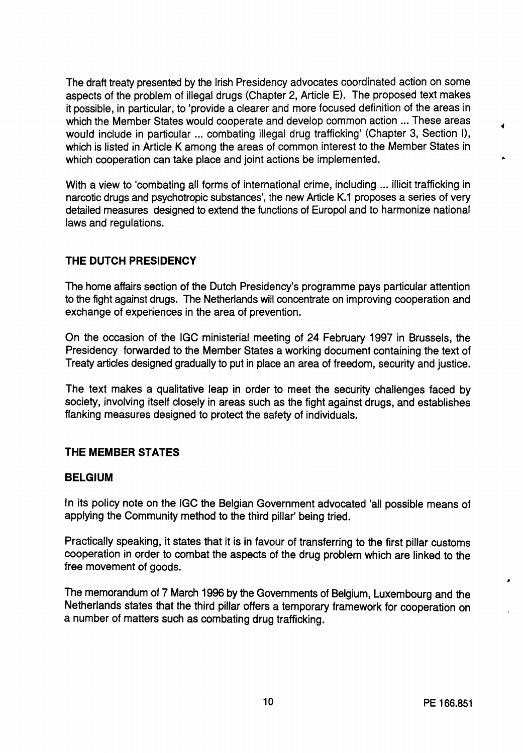The draft treaty presented by the Irish Presidency advocates coordinated action on some aspects of the problem of illegal drugs (Chapter 2, Article E). The proposed text makes it possible, in particular, to 'provide a clearer and more focused definition of the areas in which the Member States would cooperate and develop common action ... These areas would include in particular ... combating illegal drug trafficking' (Chapter 3, Section I), which is listed in Article K among the areas of common interest to the Member States in which cooperation can take place and joint actions be implemented.

With a view to 'combating all forms of international crime, including ... illicit trafficking in narcotic drugs and psychotropic substances', the new Article K.1 proposes a series of very detailed measures designed to extend the functions of Europol and to harmonize national laws and regulations.

## **THE DUTCH PRESIDENCY**

The home affairs section of the Dutch Presidency's programme pays particular attention to the fight against drugs. The Netherlands will concentrate on improving cooperation and exchange of experiences in the area of prevention.

On the occasion of the IGC ministerial meeting of 24 February 1997 in Brussels, the Presidency forwarded to the Member States a working document containing the text of Treaty articles designed gradually to put in place an area of freedom, security and justice.

The text makes a qualitative leap in order to meet the security challenges faced by society, involving itself closely in areas such as the fight against drugs, and establishes flanking measures designed to protect the safety of individuals.

## **THE MEMBER STATES**

### **BELGIUM**

In its policy note on the IGC the Belgian Government advocated 'all possible means of applying the Community method to the third pillar' being tried.

Practically speaking, it states that it is in favour of transferring to the first pillar customs cooperation in order to combat the aspects of the drug problem which are linked to the free movement of goods.

The memorandum of 7 March 1996 by the Governments of Belgium, Luxembourg and the Netherlands states that the third pillar offers a temporary framework for cooperation on a number of matters such as combating drug trafficking.

•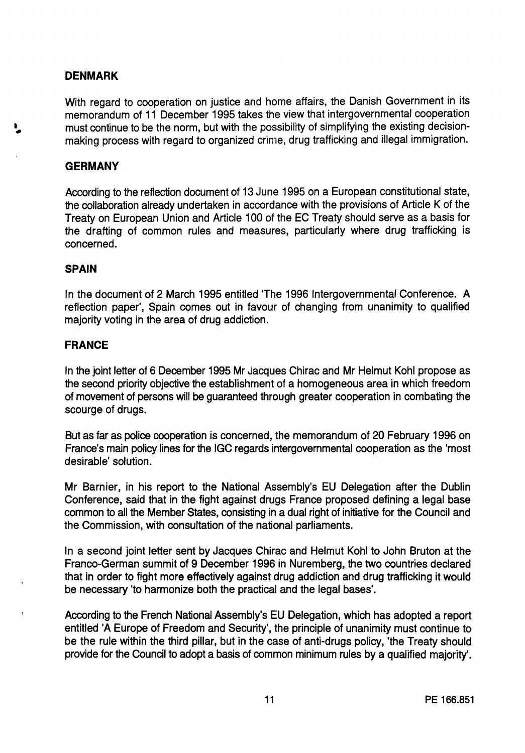## **DENMARK**

With regard to cooperation on justice and home affairs, the Danish Government in its memorandum of 11 December 1995 takes the view that intergovernmental cooperation must continue to be the norm, but with the possibility of simplifying the existing decisionmaking process with regard to organized crime, drug trafficking and illegal immigration.

## **GERMANY**

According to the reflection document of 13 June 1995 on a European constitutional state, the collaboration already undertaken in accordance with the provisions of Article K of the Treaty on European Union and Article 100 of the EC Treaty should serve as a basis for the drafting of common rules and measures, particularly where drug trafficking is concerned.

### **SPAIN**

In the document of 2 March 1995 entitled 'The 1996 Intergovernmental Conference. A reflection paper', Spain comes out in favour of changing from unanimity to qualified majority voting in the area of drug addiction.

### **FRANCE**

In the joint letter of 6 December 1995 Mr Jacques Chirac and Mr Helmut Kohl propose as the second priority objective the establishment of a homogeneous area in which freedom of movement of persons will be guaranteed through greater cooperation in combating the scourge of drugs.

But as far as police cooperation is concerned, the memorandum of 20 February 1996 on France's main policy lines for the IGC regards intergovernmental cooperation as the 'most desirable' solution.

Mr Barnier, in his report to the National Assembly's EU Delegation after the Dublin Conference, said that in the fight against drugs France proposed defining a legal base common to all the Member States, consisting in a dual right of initiative for the Council and the Commission, with consultation of the national parliaments.

In a second joint letter sent by Jacques Chirac and Helmut Kohl to John Bruton at the Franco-German summit of 9 December 1996 in Nuremberg, the two countries declared that in order to fight more effectively against drug addiction and drug trafficking it would be necessary 'to harmonize both the practical and the legal bases'.

According to the French National Assembly's EU Delegation, which has adopted a report entitled 'A Europe of Freedom and Security', the principle of unanimity must continue to be the rule within the third pillar, but in the case of anti-drugs policy, 'the Treaty should provide for the Council to adopt a basis of common minimum rules by a qualified majority'.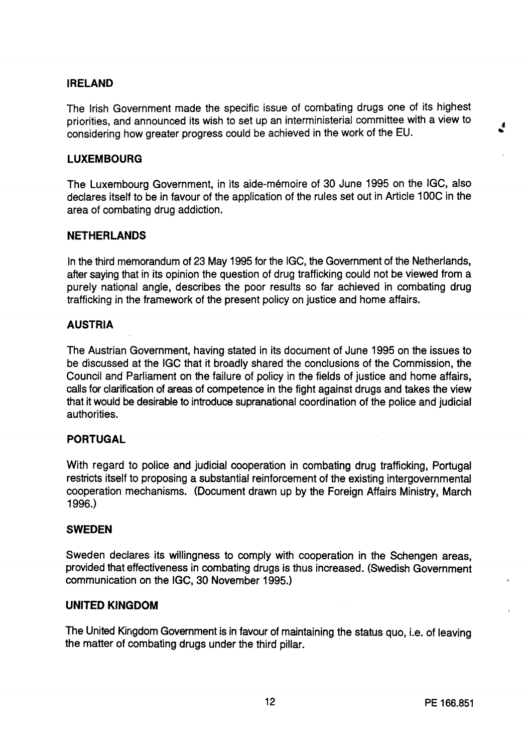## **IRELAND**

The Irish Government made the specific issue of combating drugs one of its highest priorities, and announced its wish to set up an interministerial committee with a view to considering how greater progress could be achieved in the work of the EU.

## **LUXEMBOURG**

The Luxembourg Government, in its aide-mémoire of 30 June 1995 on the IGC, also declares itself to be in favour of the application of the rules set out in Article 100C in the area of combating drug addiction.

### **NETHERLANDS**

In the third memorandum of 23 May 1995 for the IGC, the Government of the Netherlands, after saying that in its opinion the question of drug trafficking could not be viewed from a purely national angle, describes the poor results so far achieved in combating drug trafficking in the framework of the present policy on justice and home affairs.

### **AUSTRIA**

The Austrian Government, having stated in its document of June 1995 on the issues to be discussed at the IGC that it broadly shared the conclusions of the Commission, the Council and Parliament on the failure of policy in the fields of justice and home affairs, calls for clarification of areas of competence in the fight against drugs and takes the view that it would be desirable to introduce supranational coordination of the police and judicial authorities.

### **PORTUGAL**

With regard to police and judicial cooperation in combating drug trafficking, Portugal restricts itself to proposing a substantial reinforcement of the existing intergovernmental cooperation mechanisms. (Document drawn up by the Foreign Affairs Ministry, March 1996.)

### **SWEDEN**

Sweden declares its willingness to comply with cooperation in the Schengen areas, provided that effectiveness in combating drugs is thus increased. (Swedish Government communication on the IGC, 30 November 1995.)

### **UNITED KINGDOM**

The United Kingdom Government is in favour of maintaining the status quo, i.e. of leaving the matter of combating drugs under the third pillar.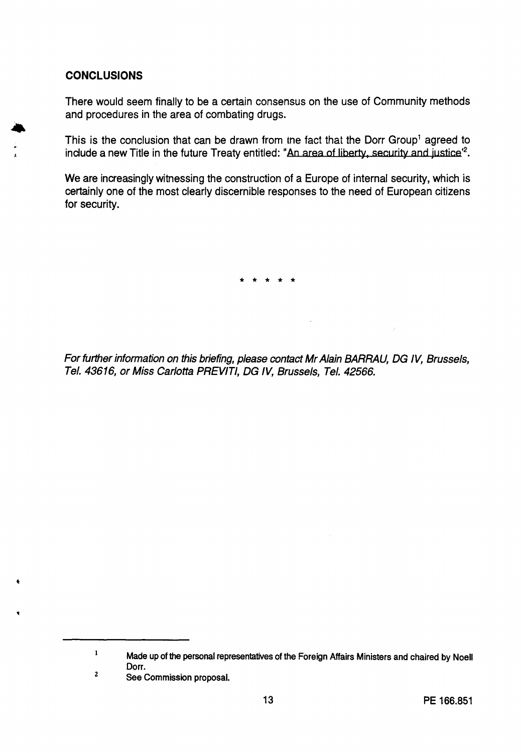## **CONCLUSIONS**

•

 $\mathbf{r}$ 

There would seem finally to be a certain consensus on the use of Community methods and procedures in the area of combating drugs.

This is the conclusion that can be drawn from the fact that the Dorr Group<sup>1</sup> agreed to include a new Title in the future Treaty entitled: "An area of liberty, security and justice'<sup>2</sup>.

We are increasingly witnessing the construction of a Europe of internal security, which is certainly one of the most clearly discernible responses to the need of European citizens for security.

\* \* \* \* \*

For further information on this briefing, please contact Mr Alain BARRAU, DG IV, Brussels, Tel. 43616, or Miss Carlotta PREVITI, DG IV, Brussels, Tel. 42566.

z See Commission proposal.

 $\mathbf{1}$ Made up of the personal representatives of the Foreign Affairs Ministers and chaired by Noell Dorr.